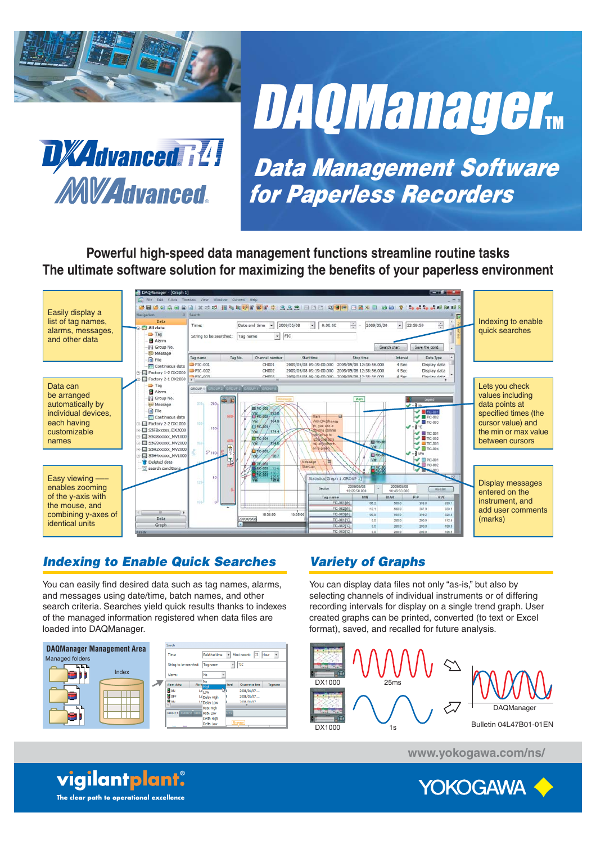

**DAQManager**...



*Data Management Software for Paperless Recorders*

**Powerful high-speed data management functions streamline routine tasks**  The ultimate software solution for maximizing the benefits of your paperless environment



# *Indexing to Enable Quick Searches*

You can easily find desired data such as tag names, alarms, and messages using date/time, batch names, and other search criteria. Searches yield quick results thanks to indexes of the managed information registered when data files are loaded into DAQManager.



# *Variety of Graphs*

You can display data files not only "as-is," but also by selecting channels of individual instruments or of differing recording intervals for display on a single trend graph. User created graphs can be printed, converted (to text or Excel format), saved, and recalled for future analysis.



**www.yokogawa.com/ns/**



vigilantplant. The clear path to operational excellence